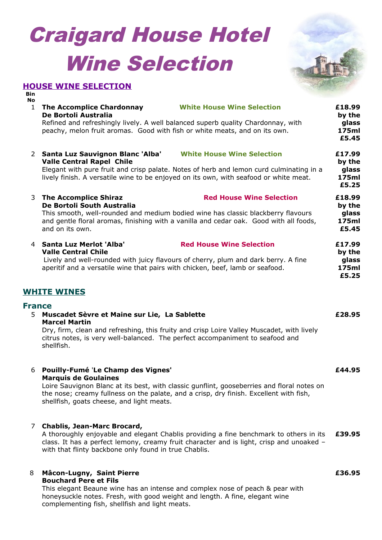# Craigard House Hotel Wine Selection



# **HOUSE WINE SELECTION**

**Bin No**

1 **The Accomplice Chardonnay White House Wine Selection De Bortoli Australia** Refined and refreshingly lively. A well balanced superb quality Chardonnay, with peachy, melon fruit aromas. Good with fish or white meats, and on its own. **£18.99 by the glass 175ml £5.45** 2 **Santa Luz Sauvignon Blanc 'Alba' White House Wine Selection Valle Central Rapel Chile** Elegant with pure fruit and crisp palate. Notes of herb and lemon curd culminating in a lively finish. A versatile wine to be enjoyed on its own, with seafood or white meat. **£17.99 by the glass 175ml £5.25** 3 **The Accomplice Shiraz Red House Wine Selection De Bortoli South Australia** This smooth, well-rounded and medium bodied wine has classic blackberry flavours and gentle floral aromas, finishing with a vanilla and cedar oak. Good with all foods, and on its own. **£18.99 by the glass 175ml £5.45** 4 **Santa Luz Merlot 'Alba' Red House Wine Selection Valle Central Chile** Lively and well-rounded with juicy flavours of cherry, plum and dark berry. A fine aperitif and a versatile wine that pairs with chicken, beef, lamb or seafood. **£17.99 by the glass 175ml**

# **WHITE WINES**

### **France**

5 **Muscadet Sèvre et Maine sur Lie, La Sablette Marcel Martin**

Dry, firm, clean and refreshing, this fruity and crisp Loire Valley Muscadet, with lively citrus notes, is very well-balanced. The perfect accompaniment to seafood and shellfish.

#### 6 **Pouilly-Fumé** '**Le Champ des Vignes' Marquis de Goulaines**

Loire Sauvignon Blanc at its best, with classic gunflint, gooseberries and floral notes on the nose; creamy fullness on the palate, and a crisp, dry finish. Excellent with fish, shellfish, goats cheese, and light meats.

### 7 **Chablis, Jean-Marc Brocard,**

A thoroughly enjoyable and elegant Chablis providing a fine benchmark to others in its class. It has a perfect lemony, creamy fruit character and is light, crisp and unoaked – with that flinty backbone only found in true Chablis. **£39.95**

### 8 **Mâcon-Lugny, Saint Pierre Bouchard Pere et Fils**

This elegant Beaune wine has an intense and complex nose of peach & pear with honeysuckle notes. Fresh, with good weight and length. A fine, elegant wine complementing fish, shellfish and light meats.

**£5.25**

**£28.95**

**£44.95**

**£36.95**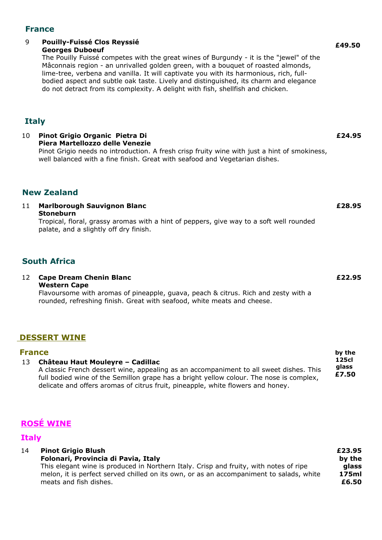# **France**

# 9 **Pouilly-Fuissé Clos Reyssié**

# **Georges Duboeuf**

The Pouilly Fuissé competes with the great wines of Burgundy - it is the "jewel" of the Mâconnais region - an unrivalled golden green, with a bouquet of roasted almonds, lime-tree, verbena and vanilla. It will captivate you with its harmonious, rich, fullbodied aspect and subtle oak taste. Lively and distinguished, its charm and elegance do not detract from its complexity. A delight with fish, shellfish and chicken.

# **Italy**

10 **Pinot Grigio Organic Pietra Di Piera Martellozzo delle Venezie** Pinot Grigio needs no introduction. A fresh crisp fruity wine with just a hint of smokiness, well balanced with a fine finish. Great with seafood and Vegetarian dishes. **£24.95**

# **New Zealand**

11 **Marlborough Sauvignon Blanc Stoneburn** Tropical, floral, grassy aromas with a hint of peppers, give way to a soft well rounded palate, and a slightly off dry finish.

# **South Africa**

12 **Cape Dream Chenin Blanc Western Cape**

> Flavoursome with aromas of pineapple, guava, peach & citrus. Rich and zesty with a rounded, refreshing finish. Great with seafood, white meats and cheese.

# **DESSERT WINE**

| <b>France</b> |                                                                                         | by the                  |
|---------------|-----------------------------------------------------------------------------------------|-------------------------|
| 13            | Château Haut Mouleyre - Cadillac                                                        | 125cl<br>glass<br>£7.50 |
|               | A classic French dessert wine, appealing as an accompaniment to all sweet dishes. This  |                         |
|               | full bodied wine of the Semillon grape has a bright yellow colour. The nose is complex, |                         |
|               | delicate and offers aromas of citrus fruit, pineapple, white flowers and honey.         |                         |

# **ROSÉ WINE**

# **Italy**

| 14 | <b>Pinot Grigio Blush</b>                                                               | £23.95 |
|----|-----------------------------------------------------------------------------------------|--------|
|    | Folonari, Provincia di Pavia, Italy                                                     | by the |
|    | This elegant wine is produced in Northern Italy. Crisp and fruity, with notes of ripe   | glass  |
|    | melon, it is perfect served chilled on its own, or as an accompaniment to salads, white | 175ml  |
|    | meats and fish dishes.                                                                  | £6.50  |

**£28.95**

# **£22.95**

# **£49.50**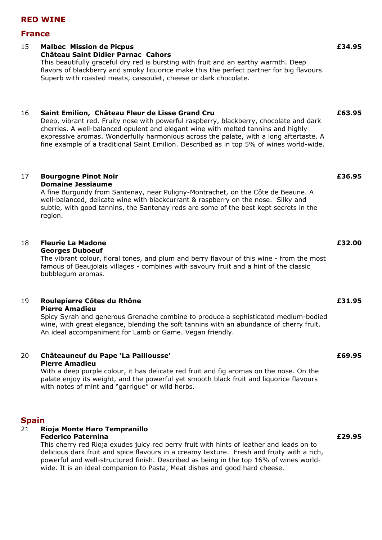# **RED WINE**

### **France**

### 15 **Malbec Mission de Picpus Château Saint Didier Parnac Cahors** This beautifully graceful dry red is bursting with fruit and an earthy warmth. Deep

flavors of blackberry and smoky liquorice make this the perfect partner for big flavours. Superb with roasted meats, cassoulet, cheese or dark chocolate.

# 16 **Saint Emilion, Château Fleur de Lisse Grand Cru**

Deep, vibrant red. Fruity nose with powerful raspberry, blackberry, chocolate and dark cherries. A well-balanced opulent and elegant wine with melted tannins and highly expressive aromas. Wonderfully harmonious across the palate, with a long aftertaste. A fine example of a traditional Saint Emilion. Described as in top 5% of wines world-wide.

# 17 **Bourgogne Pinot Noir**

### **Domaine Jessiaume**

A fine Burgundy from Santenay, near Puligny-Montrachet, on the Côte de Beaune. A well-balanced, delicate wine with blackcurrant & raspberry on the nose. Silky and subtle, with good tannins, the Santenay reds are some of the best kept secrets in the region.

# 18 **Fleurie La Madone**

**Georges Duboeuf**

The vibrant colour, floral tones, and plum and berry flavour of this wine - from the most famous of Beaujolais villages - combines with savoury fruit and a hint of the classic bubblegum aromas.

### 19 **Roulepierre Côtes du Rhône Pierre Amadieu**

Spicy Syrah and generous Grenache combine to produce a sophisticated medium-bodied wine, with great elegance, blending the soft tannins with an abundance of cherry fruit. An ideal accompaniment for Lamb or Game. Vegan friendly.

#### 20 **Châteauneuf du Pape 'La Paillousse' Pierre Amadieu**

With a deep purple colour, it has delicate red fruit and fig aromas on the nose. On the palate enjoy its weight, and the powerful yet smooth black fruit and liquorice flavours with notes of mint and "garrigue" or wild herbs.

# **Spain**

#### 21 **Rioja Monte Haro Tempranillo Federico Paternina**

This cherry red Rioja exudes juicy red berry fruit with hints of leather and leads on to delicious dark fruit and spice flavours in a creamy texture. Fresh and fruity with a rich, powerful and well-structured finish. Described as being in the top 16% of wines worldwide. It is an ideal companion to Pasta, Meat dishes and good hard cheese.

**£34.95**

#### **£63.95**

**£36.95**

### **£32.00**

#### **£31.95**

# **£69.95**

# **£29.95**